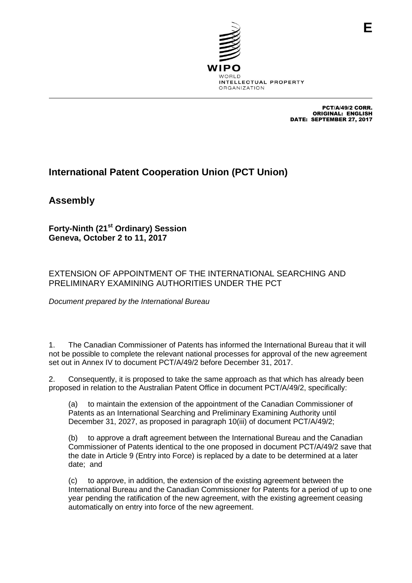

PCT/A/49/2 CORR. ORIGINAL: ENGLISH DATE: SEPTEMBER 27, 2017

# **International Patent Cooperation Union (PCT Union)**

**Assembly**

**Forty-Ninth (21st Ordinary) Session Geneva, October 2 to 11, 2017**

# EXTENSION OF APPOINTMENT OF THE INTERNATIONAL SEARCHING AND PRELIMINARY EXAMINING AUTHORITIES UNDER THE PCT

*Document prepared by the International Bureau*

1. The Canadian Commissioner of Patents has informed the International Bureau that it will not be possible to complete the relevant national processes for approval of the new agreement set out in Annex IV to document PCT/A/49/2 before December 31, 2017.

2. Consequently, it is proposed to take the same approach as that which has already been proposed in relation to the Australian Patent Office in document PCT/A/49/2, specifically:

(a) to maintain the extension of the appointment of the Canadian Commissioner of Patents as an International Searching and Preliminary Examining Authority until December 31, 2027, as proposed in paragraph 10(iii) of document PCT/A/49/2;

(b) to approve a draft agreement between the International Bureau and the Canadian Commissioner of Patents identical to the one proposed in document PCT/A/49/2 save that the date in Article 9 (Entry into Force) is replaced by a date to be determined at a later date; and

(c) to approve, in addition, the extension of the existing agreement between the International Bureau and the Canadian Commissioner for Patents for a period of up to one year pending the ratification of the new agreement, with the existing agreement ceasing automatically on entry into force of the new agreement.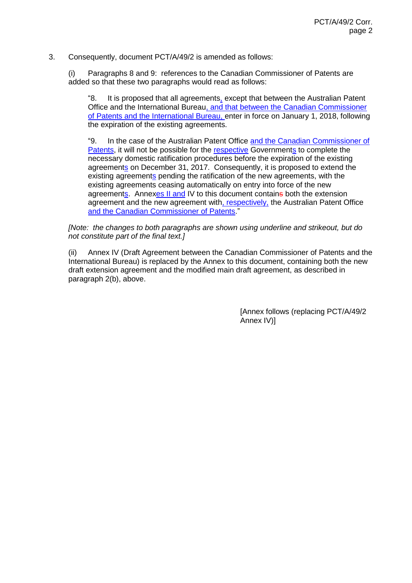## 3. Consequently, document PCT/A/49/2 is amended as follows:

(i) Paragraphs 8 and 9: references to the Canadian Commissioner of Patents are added so that these two paragraphs would read as follows:

"8. It is proposed that all agreements, except that between the Australian Patent Office and the International Bureau, and that between the Canadian Commissioner of Patents and the International Bureau, enter in force on January 1, 2018, following the expiration of the existing agreements.

"9. In the case of the Australian Patent Office and the Canadian Commissioner of Patents, it will not be possible for the respective Governments to complete the necessary domestic ratification procedures before the expiration of the existing agreements on December 31, 2017. Consequently, it is proposed to extend the existing agreements pending the ratification of the new agreements, with the existing agreements ceasing automatically on entry into force of the new agreements. Annexes II and IV to this document contains both the extension agreement and the new agreement with, respectively, the Australian Patent Office and the Canadian Commissioner of Patents."

## *[Note: the changes to both paragraphs are shown using underline and strikeout, but do not constitute part of the final text.]*

(ii) Annex IV (Draft Agreement between the Canadian Commissioner of Patents and the International Bureau) is replaced by the Annex to this document, containing both the new draft extension agreement and the modified main draft agreement, as described in paragraph 2(b), above.

> [Annex follows (replacing PCT/A/49/2 Annex IV)]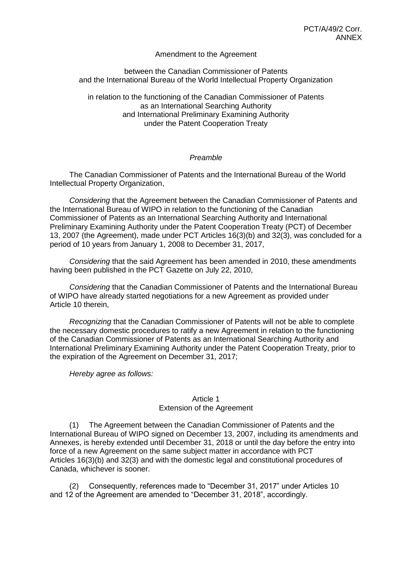## Amendment to the Agreement

## between the Canadian Commissioner of Patents and the International Bureau of the World Intellectual Property Organization

in relation to the functioning of the Canadian Commissioner of Patents as an International Searching Authority and International Preliminary Examining Authority under the Patent Cooperation Treaty

## *Preamble*

The Canadian Commissioner of Patents and the International Bureau of the World Intellectual Property Organization,

*Considering* that the Agreement between the Canadian Commissioner of Patents and the International Bureau of WIPO in relation to the functioning of the Canadian Commissioner of Patents as an International Searching Authority and International Preliminary Examining Authority under the Patent Cooperation Treaty (PCT) of December 13, 2007 (the Agreement), made under PCT Articles 16(3)(b) and 32(3), was concluded for a period of 10 years from January 1, 2008 to December 31, 2017,

*Considering* that the said Agreement has been amended in 2010, these amendments having been published in the PCT Gazette on July 22, 2010,

*Considering* that the Canadian Commissioner of Patents and the International Bureau of WIPO have already started negotiations for a new Agreement as provided under Article 10 therein,

*Recognizing* that the Canadian Commissioner of Patents will not be able to complete the necessary domestic procedures to ratify a new Agreement in relation to the functioning of the Canadian Commissioner of Patents as an International Searching Authority and International Preliminary Examining Authority under the Patent Cooperation Treaty, prior to the expiration of the Agreement on December 31, 2017;

*Hereby agree as follows:*

## Article 1 Extension of the Agreement

(1) The Agreement between the Canadian Commissioner of Patents and the International Bureau of WIPO signed on December 13, 2007, including its amendments and Annexes, is hereby extended until December 31, 2018 or until the day before the entry into force of a new Agreement on the same subject matter in accordance with PCT Articles 16(3)(b) and 32(3) and with the domestic legal and constitutional procedures of Canada, whichever is sooner.

(2) Consequently, references made to "December 31, 2017" under Articles 10 and 12 of the Agreement are amended to "December 31, 2018", accordingly.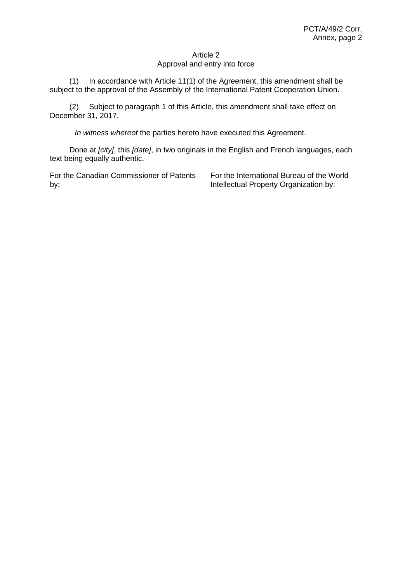## Article 2 Approval and entry into force

(1) In accordance with Article 11(1) of the Agreement, this amendment shall be subject to the approval of the Assembly of the International Patent Cooperation Union.

(2) Subject to paragraph 1 of this Article, this amendment shall take effect on December 31, 2017.

*In witness whereof* the parties hereto have executed this Agreement.

Done at *[city]*, this *[date]*, in two originals in the English and French languages, each text being equally authentic.

For the Canadian Commissioner of Patents by:

For the International Bureau of the World Intellectual Property Organization by: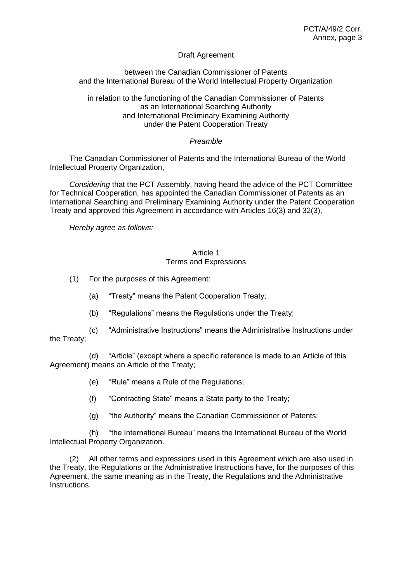## Draft Agreement

between the Canadian Commissioner of Patents and the International Bureau of the World Intellectual Property Organization

in relation to the functioning of the Canadian Commissioner of Patents as an International Searching Authority and International Preliminary Examining Authority under the Patent Cooperation Treaty

## *Preamble*

The Canadian Commissioner of Patents and the International Bureau of the World Intellectual Property Organization,

*Considering* that the PCT Assembly, having heard the advice of the PCT Committee for Technical Cooperation, has appointed the Canadian Commissioner of Patents as an International Searching and Preliminary Examining Authority under the Patent Cooperation Treaty and approved this Agreement in accordance with Articles 16(3) and 32(3),

*Hereby agree as follows:*

## Article 1 Terms and Expressions

- (1) For the purposes of this Agreement:
	- (a) "Treaty" means the Patent Cooperation Treaty;
	- (b) "Regulations" means the Regulations under the Treaty;
- (c) "Administrative Instructions" means the Administrative Instructions under the Treaty;

(d) "Article" (except where a specific reference is made to an Article of this Agreement) means an Article of the Treaty;

(e) "Rule" means a Rule of the Regulations;

- (f) "Contracting State" means a State party to the Treaty;
- (g) "the Authority" means the Canadian Commissioner of Patents;

(h) "the International Bureau" means the International Bureau of the World Intellectual Property Organization.

(2) All other terms and expressions used in this Agreement which are also used in the Treaty, the Regulations or the Administrative Instructions have, for the purposes of this Agreement, the same meaning as in the Treaty, the Regulations and the Administrative Instructions.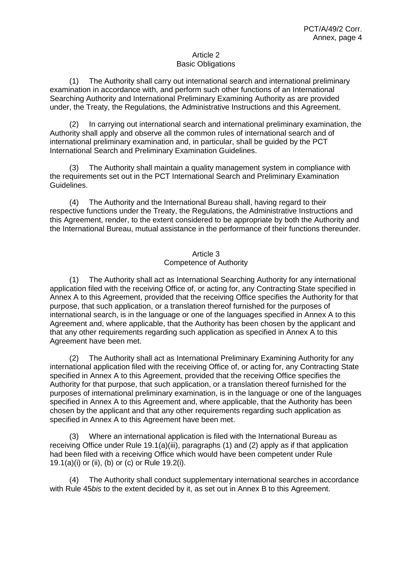### Article 2 Basic Obligations

(1) The Authority shall carry out international search and international preliminary examination in accordance with, and perform such other functions of an International Searching Authority and International Preliminary Examining Authority as are provided under, the Treaty, the Regulations, the Administrative Instructions and this Agreement.

(2) In carrying out international search and international preliminary examination, the Authority shall apply and observe all the common rules of international search and of international preliminary examination and, in particular, shall be guided by the PCT International Search and Preliminary Examination Guidelines.

(3) The Authority shall maintain a quality management system in compliance with the requirements set out in the PCT International Search and Preliminary Examination Guidelines.

(4) The Authority and the International Bureau shall, having regard to their respective functions under the Treaty, the Regulations, the Administrative Instructions and this Agreement, render, to the extent considered to be appropriate by both the Authority and the International Bureau, mutual assistance in the performance of their functions thereunder.

## Article 3

## Competence of Authority

(1) The Authority shall act as International Searching Authority for any international application filed with the receiving Office of, or acting for, any Contracting State specified in Annex A to this Agreement, provided that the receiving Office specifies the Authority for that purpose, that such application, or a translation thereof furnished for the purposes of international search, is in the language or one of the languages specified in Annex A to this Agreement and, where applicable, that the Authority has been chosen by the applicant and that any other requirements regarding such application as specified in Annex A to this Agreement have been met.

(2) The Authority shall act as International Preliminary Examining Authority for any international application filed with the receiving Office of, or acting for, any Contracting State specified in Annex A to this Agreement, provided that the receiving Office specifies the Authority for that purpose, that such application, or a translation thereof furnished for the purposes of international preliminary examination, is in the language or one of the languages specified in Annex A to this Agreement and, where applicable, that the Authority has been chosen by the applicant and that any other requirements regarding such application as specified in Annex A to this Agreement have been met.

(3) Where an international application is filed with the International Bureau as receiving Office under Rule 19.1(a)(iii), paragraphs (1) and (2) apply as if that application had been filed with a receiving Office which would have been competent under Rule 19.1(a)(i) or (ii), (b) or (c) or Rule 19.2(i).

The Authority shall conduct supplementary international searches in accordance with Rule 45*bis* to the extent decided by it, as set out in Annex B to this Agreement.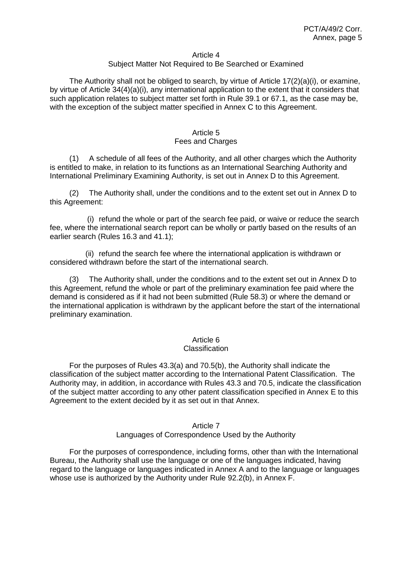#### Article 4

## Subject Matter Not Required to Be Searched or Examined

The Authority shall not be obliged to search, by virtue of Article  $17(2)(a)(i)$ , or examine, by virtue of Article 34(4)(a)(i), any international application to the extent that it considers that such application relates to subject matter set forth in Rule 39.1 or 67.1, as the case may be, with the exception of the subject matter specified in Annex C to this Agreement.

# Article 5

### Fees and Charges

(1) A schedule of all fees of the Authority, and all other charges which the Authority is entitled to make, in relation to its functions as an International Searching Authority and International Preliminary Examining Authority, is set out in Annex D to this Agreement.

(2) The Authority shall, under the conditions and to the extent set out in Annex D to this Agreement:

(i) refund the whole or part of the search fee paid, or waive or reduce the search fee, where the international search report can be wholly or partly based on the results of an earlier search (Rules 16.3 and 41.1);

(ii) refund the search fee where the international application is withdrawn or considered withdrawn before the start of the international search.

(3) The Authority shall, under the conditions and to the extent set out in Annex D to this Agreement, refund the whole or part of the preliminary examination fee paid where the demand is considered as if it had not been submitted (Rule 58.3) or where the demand or the international application is withdrawn by the applicant before the start of the international preliminary examination.

#### Article 6 **Classification**

For the purposes of Rules 43.3(a) and 70.5(b), the Authority shall indicate the classification of the subject matter according to the International Patent Classification. The Authority may, in addition, in accordance with Rules 43.3 and 70.5, indicate the classification of the subject matter according to any other patent classification specified in Annex E to this Agreement to the extent decided by it as set out in that Annex.

### Article 7 Languages of Correspondence Used by the Authority

For the purposes of correspondence, including forms, other than with the International Bureau, the Authority shall use the language or one of the languages indicated, having regard to the language or languages indicated in Annex A and to the language or languages whose use is authorized by the Authority under Rule 92.2(b), in Annex F.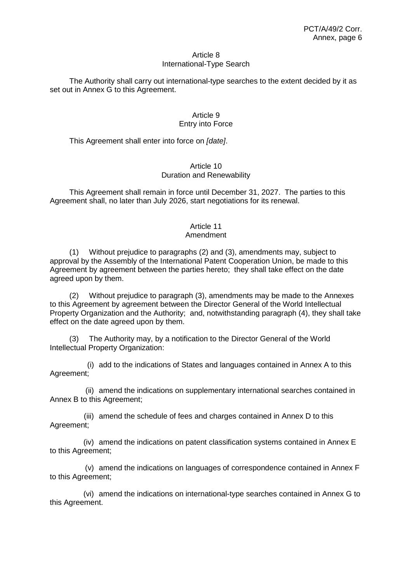### Article 8 International-Type Search

The Authority shall carry out international-type searches to the extent decided by it as set out in Annex G to this Agreement.

## Article 9 Entry into Force

This Agreement shall enter into force on *[date]*.

### Article 10 Duration and Renewability

This Agreement shall remain in force until December 31, 2027. The parties to this Agreement shall, no later than July 2026, start negotiations for its renewal.

# Article 11

## Amendment

(1) Without prejudice to paragraphs (2) and (3), amendments may, subject to approval by the Assembly of the International Patent Cooperation Union, be made to this Agreement by agreement between the parties hereto; they shall take effect on the date agreed upon by them.

(2) Without prejudice to paragraph (3), amendments may be made to the Annexes to this Agreement by agreement between the Director General of the World Intellectual Property Organization and the Authority; and, notwithstanding paragraph (4), they shall take effect on the date agreed upon by them.

(3) The Authority may, by a notification to the Director General of the World Intellectual Property Organization:

(i) add to the indications of States and languages contained in Annex A to this Agreement;

(ii) amend the indications on supplementary international searches contained in Annex B to this Agreement;

(iii) amend the schedule of fees and charges contained in Annex D to this Agreement;

(iv) amend the indications on patent classification systems contained in Annex E to this Agreement;

(v) amend the indications on languages of correspondence contained in Annex F to this Agreement;

(vi) amend the indications on international-type searches contained in Annex G to this Agreement.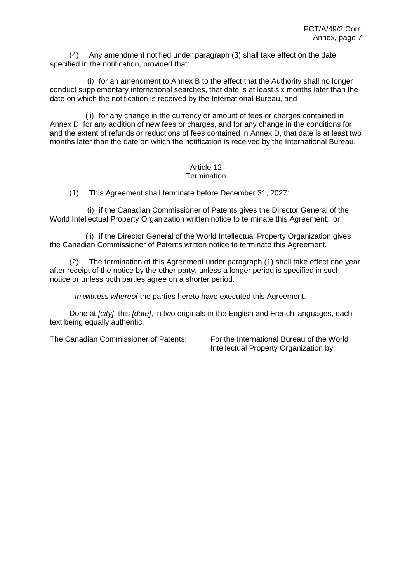(4) Any amendment notified under paragraph (3) shall take effect on the date specified in the notification, provided that:

(i) for an amendment to Annex B to the effect that the Authority shall no longer conduct supplementary international searches, that date is at least six months later than the date on which the notification is received by the International Bureau, and

(ii) for any change in the currency or amount of fees or charges contained in Annex D, for any addition of new fees or charges, and for any change in the conditions for and the extent of refunds or reductions of fees contained in Annex D, that date is at least two months later than the date on which the notification is received by the International Bureau.

# Article 12

## **Termination**

(1) This Agreement shall terminate before December 31, 2027:

(i) if the Canadian Commissioner of Patents gives the Director General of the World Intellectual Property Organization written notice to terminate this Agreement; or

(ii) if the Director General of the World Intellectual Property Organization gives the Canadian Commissioner of Patents written notice to terminate this Agreement.

(2) The termination of this Agreement under paragraph (1) shall take effect one year after receipt of the notice by the other party, unless a longer period is specified in such notice or unless both parties agree on a shorter period.

*In witness whereof* the parties hereto have executed this Agreement.

Done at *[city]*, this *[date]*, in two originals in the English and French languages, each text being equally authentic.

The Canadian Commissioner of Patents: For the International Bureau of the World Intellectual Property Organization by: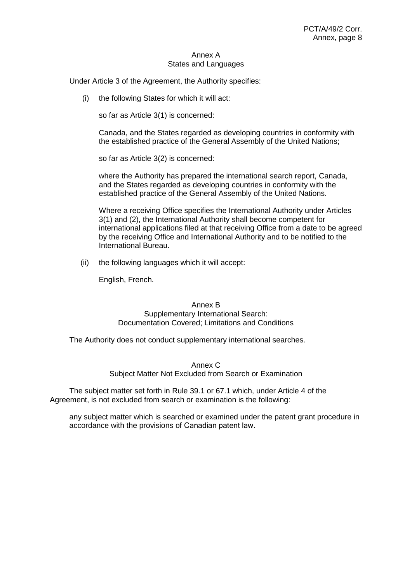### Annex A States and Languages

Under Article 3 of the Agreement, the Authority specifies:

(i) the following States for which it will act:

so far as Article 3(1) is concerned:

Canada, and the States regarded as developing countries in conformity with the established practice of the General Assembly of the United Nations;

so far as Article 3(2) is concerned:

where the Authority has prepared the international search report, Canada, and the States regarded as developing countries in conformity with the established practice of the General Assembly of the United Nations.

Where a receiving Office specifies the International Authority under Articles 3(1) and (2), the International Authority shall become competent for international applications filed at that receiving Office from a date to be agreed by the receiving Office and International Authority and to be notified to the International Bureau.

(ii) the following languages which it will accept:

English, French.

Annex B Supplementary International Search: Documentation Covered; Limitations and Conditions

The Authority does not conduct supplementary international searches.

Annex C Subject Matter Not Excluded from Search or Examination

The subject matter set forth in Rule 39.1 or 67.1 which, under Article 4 of the Agreement, is not excluded from search or examination is the following:

any subject matter which is searched or examined under the patent grant procedure in accordance with the provisions of Canadian patent law.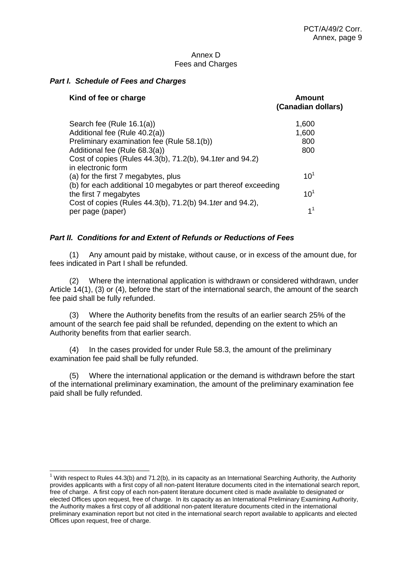## Annex D Fees and Charges

## *Part I. Schedule of Fees and Charges*

 $\overline{1}$ 

| Kind of fee or charge                                                                   | Amount<br>(Canadian dollars) |
|-----------------------------------------------------------------------------------------|------------------------------|
| Search fee (Rule 16.1(a))                                                               | 1,600                        |
| Additional fee (Rule 40.2(a))                                                           | 1,600                        |
| Preliminary examination fee (Rule 58.1(b))                                              | 800                          |
| Additional fee (Rule 68.3(a))                                                           | 800                          |
| Cost of copies (Rules 44.3(b), 71.2(b), 94.1 ter and 94.2)<br>in electronic form        |                              |
| (a) for the first 7 megabytes, plus                                                     | $10^{1}$                     |
| (b) for each additional 10 megabytes or part thereof exceeding<br>the first 7 megabytes | 10 <sup>1</sup>              |
| Cost of copies (Rules 44.3(b), 71.2(b) 94.1 ter and 94.2),                              |                              |
| per page (paper)                                                                        | 1 <sup>1</sup>               |

## *Part II. Conditions for and Extent of Refunds or Reductions of Fees*

(1) Any amount paid by mistake, without cause, or in excess of the amount due, for fees indicated in Part I shall be refunded.

(2) Where the international application is withdrawn or considered withdrawn, under Article 14(1), (3) or (4), before the start of the international search, the amount of the search fee paid shall be fully refunded.

(3) Where the Authority benefits from the results of an earlier search 25% of the amount of the search fee paid shall be refunded, depending on the extent to which an Authority benefits from that earlier search.

(4) In the cases provided for under Rule 58.3, the amount of the preliminary examination fee paid shall be fully refunded.

(5) Where the international application or the demand is withdrawn before the start of the international preliminary examination, the amount of the preliminary examination fee paid shall be fully refunded.

 $1$  With respect to Rules 44.3(b) and 71.2(b), in its capacity as an International Searching Authority, the Authority provides applicants with a first copy of all non-patent literature documents cited in the international search report, free of charge. A first copy of each non-patent literature document cited is made available to designated or elected Offices upon request, free of charge. In its capacity as an International Preliminary Examining Authority, the Authority makes a first copy of all additional non-patent literature documents cited in the international preliminary examination report but not cited in the international search report available to applicants and elected Offices upon request, free of charge.